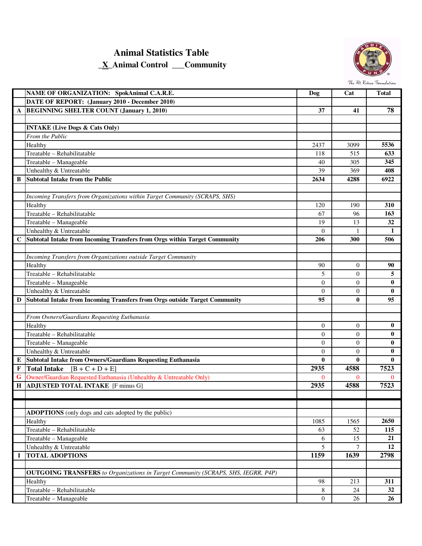## **Animal Statistics Table**

 **\_X\_Animal Control \_\_\_Community**



The Pet Rescue Foundation

|              | NAME OF ORGANIZATION: SpokAnimal C.A.R.E.                                                | <b>Dog</b>     | Cat            | <b>Total</b> |
|--------------|------------------------------------------------------------------------------------------|----------------|----------------|--------------|
|              | DATE OF REPORT: (January 2010 - December 2010)                                           |                |                |              |
| $\mathbf A$  | <b>BEGINNING SHELTER COUNT (January 1, 2010)</b>                                         | 37             | 41             | 78           |
|              |                                                                                          |                |                |              |
|              | <b>INTAKE (Live Dogs &amp; Cats Only)</b>                                                |                |                |              |
|              | From the Public                                                                          |                |                |              |
|              | Healthy                                                                                  | 2437           | 3099           | 5536         |
|              | Treatable - Rehabilitatable                                                              | 118            | 515            | 633          |
|              | Treatable - Manageable                                                                   | 40             | 305            | 345          |
|              | Unhealthy & Untreatable                                                                  | 39             | 369            | 408          |
| B            | <b>Subtotal Intake from the Public</b>                                                   | 2634           | 4288           | 6922         |
|              |                                                                                          |                |                |              |
|              | Incoming Transfers from Organizations within Target Community (SCRAPS, SHS)              |                |                |              |
|              | Healthy                                                                                  | 120            | 190            | 310          |
|              | Treatable - Rehabilitatable                                                              | 67             | 96             | 163          |
|              | Treatable - Manageable                                                                   | 19             | 13             | 32           |
|              | Unhealthy & Untreatable                                                                  | $\Omega$       | 1              | 1            |
| $\mathbf C$  | Subtotal Intake from Incoming Transfers from Orgs within Target Community                | 206            | 300            | 506          |
|              |                                                                                          |                |                |              |
|              | Incoming Transfers from Organizations outside Target Community                           |                |                |              |
|              | Healthy                                                                                  | 90             | $\theta$       | 90           |
|              | Treatable - Rehabilitatable                                                              | 5              | $\theta$       | 5            |
|              | Treatable - Manageable                                                                   | $\Omega$       | $\theta$       | $\bf{0}$     |
|              | Unhealthy & Untreatable                                                                  | $\Omega$       | $\theta$       | $\mathbf{0}$ |
| D            | Subtotal Intake from Incoming Transfers from Orgs outside Target Community               | 95             | $\bf{0}$       | 95           |
|              |                                                                                          |                |                |              |
|              | From Owners/Guardians Requesting Euthanasia                                              |                |                |              |
|              | Healthy                                                                                  | $\theta$       | $\theta$       | $\bf{0}$     |
|              | Treatable - Rehabilitatable                                                              | $\Omega$       | $\theta$       | $\bf{0}$     |
|              | Treatable - Manageable                                                                   | $\Omega$       | $\theta$       | $\bf{0}$     |
|              | Unhealthy & Untreatable                                                                  | $\theta$       | $\theta$       | $\bf{0}$     |
| $\bf{E}$     | <b>Subtotal Intake from Owners/Guardians Requesting Euthanasia</b>                       | $\bf{0}$       | $\bf{0}$       | $\bf{0}$     |
| $\mathbf{F}$ | Total Intake $[B + C + D + E]$                                                           | 2935           | 4588           | 7523         |
| G            | Owner/Guardian Requested Euthanasia (Unhealthy & Untreatable Only)                       | $\Omega$       | $\Omega$       | $\theta$     |
| $\mathbf H$  | <b>ADJUSTED TOTAL INTAKE</b> [F minus G]                                                 | 2935           | 4588           | 7523         |
|              |                                                                                          |                |                |              |
|              |                                                                                          |                |                |              |
|              | <b>ADOPTIONS</b> (only dogs and cats adopted by the public)                              |                |                |              |
|              | Healthy                                                                                  | 1085           | 1565           | 2650         |
|              | Treatable - Rehabilitatable                                                              | 63             | 52             | 115          |
|              | Treatable - Manageable                                                                   | 6              | 15             | 21           |
|              | Unhealthy & Untreatable                                                                  | 5              | $\overline{7}$ | 12           |
| 1            | <b>TOTAL ADOPTIONS</b>                                                                   | 1159           | 1639           | 2798         |
|              |                                                                                          |                |                |              |
|              | <b>OUTGOING TRANSFERS</b> to Organizations in Target Community (SCRAPS, SHS, IEGRR, P4P) |                |                |              |
|              | Healthy                                                                                  | 98             | 213            | 311          |
|              | Treatable - Rehabilitatable                                                              | 8              | 24             | 32           |
|              | Treatable - Manageable                                                                   | $\overline{0}$ | 26             | 26           |
|              |                                                                                          |                |                |              |